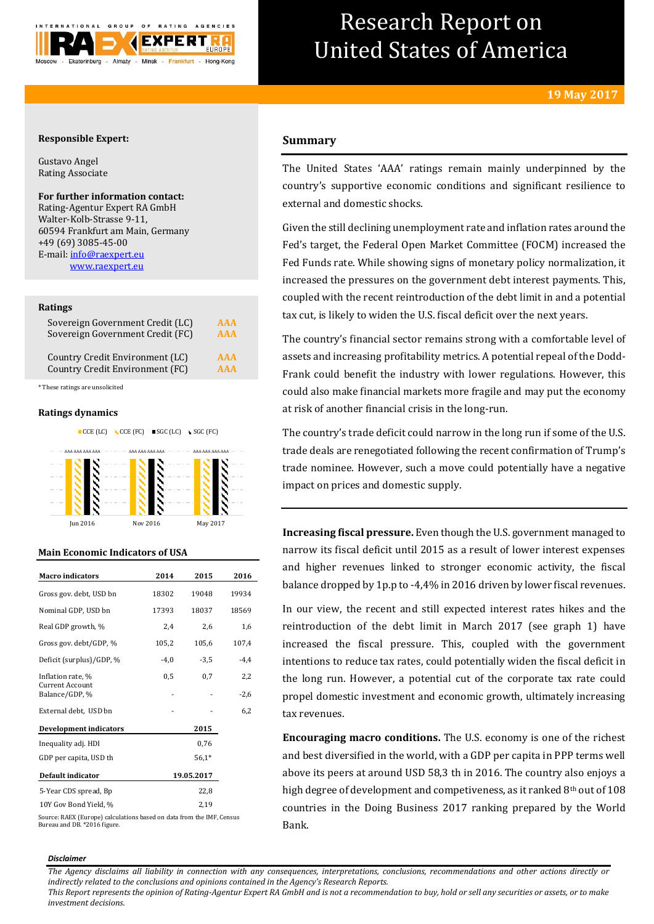

# Research Report on United States of America

# **Responsible Expert:**

Gustavo Angel Rating Associate

# **For further information contact:**

Rating-Agentur Expert RA GmbH Walter-Kolb-Strasse 9-11, 60594 Frankfurt am Main, Germany +49 (69) 3085-45-00 E-mail[: info@raexpert.eu](mailto:info@raexpert.eu) [www.raexpert.eu](http://raexpert.eu/)

### **Ratings**

| Sovereign Government Credit (LC) | AAA        |
|----------------------------------|------------|
| Sovereign Government Credit (FC) | <b>AAA</b> |
| Country Credit Environment (LC)  | AAA        |
| Country Credit Environment (FC)  | AAA        |

\* These ratings are unsolicited

## **Ratings dynamics**





# **Main Economic Indicators of USA**

| <b>Macro</b> indicators           | 2014   | 2015       | 2016   |
|-----------------------------------|--------|------------|--------|
| Gross gov. debt, USD bn           | 18302  | 19048      | 19934  |
| Nominal GDP, USD bn               | 17393  | 18037      | 18569  |
| Real GDP growth, %                | 2,4    | 2,6        | 1,6    |
| Gross gov. debt/GDP, %            | 105,2  | 105,6      | 107,4  |
| Deficit (surplus)/GDP, %          | $-4,0$ | $-3,5$     | -4,4   |
| Inflation rate, %                 | 0,5    | 0,7        | 2,2    |
| Current Account<br>Balance/GDP, % |        |            | $-2,6$ |
| External debt, USD bn             |        |            | 6,2    |
| <b>Development indicators</b>     |        | 2015       |        |
| Inequality adj. HDI               |        | 0,76       |        |
| GDP per capita, USD th            |        | $56.1*$    |        |
| Default indicator                 |        | 19.05.2017 |        |
| 5-Year CDS spread, Bp             |        | 22,8       |        |
| 10Y Gov Bond Yield, %             |        | 2,19       |        |

Source: RAEX (Europe) calculations based on data from the IMF, Census Bureau and DB. \*2016 figure.

# **Summary**

The United States 'AAA' ratings remain mainly underpinned by the country's supportive economic conditions and significant resilience to external and domestic shocks.

Given the still declining unemployment rate and inflation rates around the Fed's target, the Federal Open Market Committee (FOCM) increased the Fed Funds rate. While showing signs of monetary policy normalization, it increased the pressures on the government debt interest payments. This, coupled with the recent reintroduction of the debt limit in and a potential tax cut, is likely to widen the U.S. fiscal deficit over the next years.

The country's financial sector remains strong with a comfortable level of assets and increasing profitability metrics. A potential repeal of the Dodd-Frank could benefit the industry with lower regulations. However, this could also make financial markets more fragile and may put the economy at risk of another financial crisis in the long-run.

The country's trade deficit could narrow in the long run if some of the U.S. trade deals are renegotiated following the recent confirmation of Trump's trade nominee. However, such a move could potentially have a negative impact on prices and domestic supply.

**Increasing fiscal pressure.** Even though the U.S. government managed to narrow its fiscal deficit until 2015 as a result of lower interest expenses and higher revenues linked to stronger economic activity, the fiscal balance dropped by 1p.p to -4,4% in 2016 driven by lower fiscal revenues.

In our view, the recent and still expected interest rates hikes and the reintroduction of the debt limit in March 2017 (see graph 1) have increased the fiscal pressure. This, coupled with the government intentions to reduce tax rates, could potentially widen the fiscal deficit in the long run. However, a potential cut of the corporate tax rate could propel domestic investment and economic growth, ultimately increasing tax revenues.

**Encouraging macro conditions.** The U.S. economy is one of the richest and best diversified in the world, with a GDP per capita in PPP terms well above its peers at around USD 58,3 th in 2016. The country also enjoys a high degree of development and competiveness, as it ranked  $8<sup>th</sup>$  out of 108 countries in the Doing Business 2017 ranking prepared by the World Bank.

#### *Disclaimer*

*The Agency disclaims all liability in connection with any consequences, interpretations, conclusions, recommendations and other actions directly or indirectly related to the conclusions and opinions contained in the Agency's Research Reports.*

*This Report represents the opinion of Rating-Agentur Expert RA GmbH and is not a recommendation to buy, hold or sell any securities or assets, or to make investment decisions.*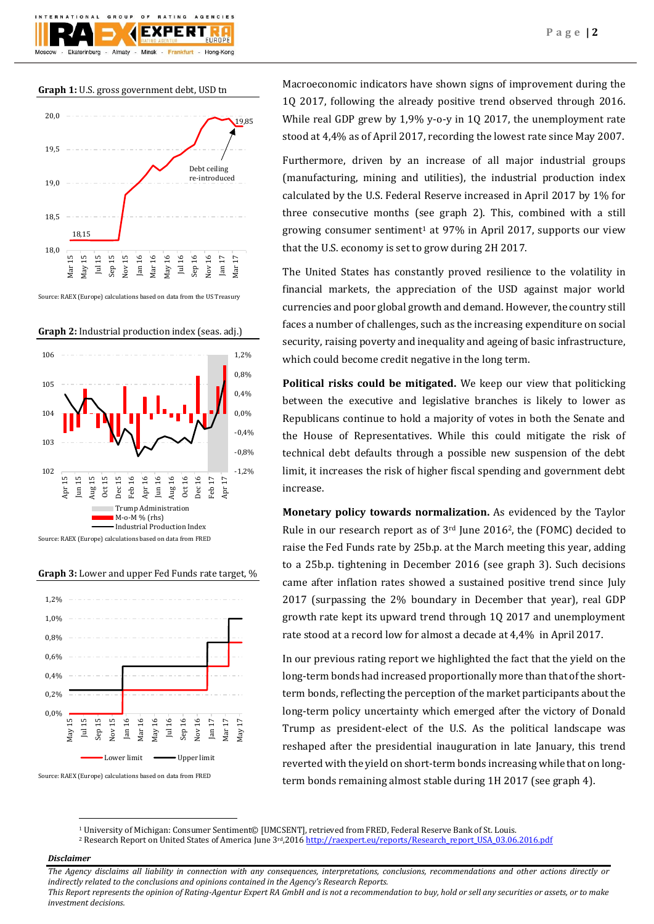

**Graph 1:** U.S. gross government debt, USD tn



Source: RAEX (Europe) calculations based on data from the US Treasury



**Graph 3:** Lower and upper Fed Funds rate target, %

Source: RAEX (Europe) calculations based on data from FRED



Source: RAEX (Europe) calculations based on data from FRED

Macroeconomic indicators have shown signs of improvement during the 1Q 2017, following the already positive trend observed through 2016. While real GDP grew by 1,9% y-o-y in 1Q 2017, the unemployment rate stood at 4,4% as of April 2017, recording the lowest rate since May 2007.

Furthermore, driven by an increase of all major industrial groups (manufacturing, mining and utilities), the industrial production index calculated by the U.S. Federal Reserve increased in April 2017 by 1% for three consecutive months (see graph 2). This, combined with a still growing consumer sentiment<sup>1</sup> at 97% in April 2017, supports our view that the U.S. economy is set to grow during 2H 2017.

The United States has constantly proved resilience to the volatility in financial markets, the appreciation of the USD against major world currencies and poor global growth and demand. However, the country still faces a number of challenges, such as the increasing expenditure on social security, raising poverty and inequality and ageing of basic infrastructure, which could become credit negative in the long term.

**Political risks could be mitigated.** We keep our view that politicking between the executive and legislative branches is likely to lower as Republicans continue to hold a majority of votes in both the Senate and the House of Representatives. While this could mitigate the risk of technical debt defaults through a possible new suspension of the debt limit, it increases the risk of higher fiscal spending and government debt increase.

**Monetary policy towards normalization.** As evidenced by the Taylor Rule in our research report as of  $3<sup>rd</sup>$  June 2016<sup>2</sup>, the (FOMC) decided to raise the Fed Funds rate by 25b.p. at the March meeting this year, adding to a 25b.p. tightening in December 2016 (see graph 3). Such decisions came after inflation rates showed a sustained positive trend since July 2017 (surpassing the 2% boundary in December that year), real GDP growth rate kept its upward trend through 1Q 2017 and unemployment rate stood at a record low for almost a decade at 4,4% in April 2017.

In our previous rating report we highlighted the fact that the yield on the long-term bonds had increased proportionally more than that of the shortterm bonds, reflecting the perception of the market participants about the long-term policy uncertainty which emerged after the victory of Donald Trump as president-elect of the U.S. As the political landscape was reshaped after the presidential inauguration in late January, this trend reverted with the yield on short-term bonds increasing while that on longterm bonds remaining almost stable during 1H 2017 (see graph 4).

# *Disclaimer*

 $\overline{a}$ 

*The Agency disclaims all liability in connection with any consequences, interpretations, conclusions, recommendations and other actions directly or indirectly related to the conclusions and opinions contained in the Agency's Research Reports.*

*This Report represents the opinion of Rating-Agentur Expert RA GmbH and is not a recommendation to buy, hold or sell any securities or assets, or to make investment decisions.*

<sup>1</sup> University of Michigan: Consumer Sentiment© [UMCSENT], retrieved from FRED, Federal Reserve Bank of St. Louis.

<sup>&</sup>lt;sup>2</sup> Research Report on United States of America June 3<sup>rd</sup>,201[6 http://raexpert.eu/reports/Research\\_report\\_USA\\_03.06.2016.pdf](http://raexpert.eu/reports/Research_report_USA_03.06.2016.pdf)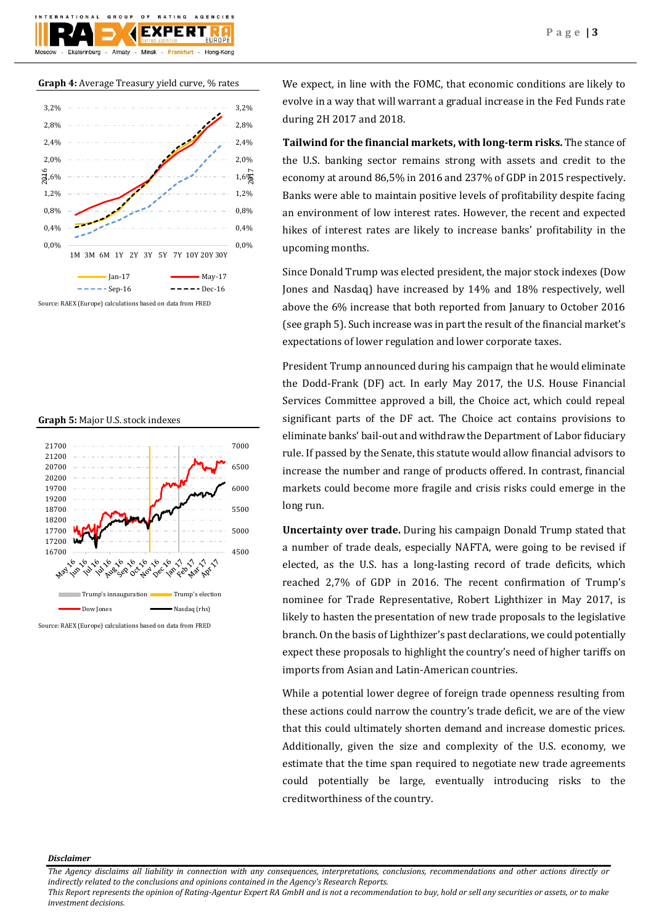

# **Graph 5:** Major U.S. stock indexes



We expect, in line with the FOMC, that economic conditions are likely to evolve in a way that will warrant a gradual increase in the Fed Funds rate during 2H 2017 and 2018.

**Tailwind for the financial markets, with long-term risks.** The stance of the U.S. banking sector remains strong with assets and credit to the economy at around 86,5% in 2016 and 237% of GDP in 2015 respectively. Banks were able to maintain positive levels of profitability despite facing an environment of low interest rates. However, the recent and expected hikes of interest rates are likely to increase banks' profitability in the upcoming months.

Since Donald Trump was elected president, the major stock indexes (Dow Jones and Nasdaq) have increased by 14% and 18% respectively, well above the 6% increase that both reported from January to October 2016 (see graph 5). Such increase was in part the result of the financial market's expectations of lower regulation and lower corporate taxes.

President Trump announced during his campaign that he would eliminate the Dodd-Frank (DF) act. In early May 2017, the U.S. House Financial Services Committee approved a bill, the Choice act, which could repeal significant parts of the DF act. The Choice act contains provisions to eliminate banks' bail-out and withdraw the Department of Labor fiduciary rule. If passed by the Senate, this statute would allow financial advisors to increase the number and range of products offered. In contrast, financial markets could become more fragile and crisis risks could emerge in the long run.

**Uncertainty over trade.** During his campaign Donald Trump stated that a number of trade deals, especially NAFTA, were going to be revised if elected, as the U.S. has a long-lasting record of trade deficits, which reached 2,7% of GDP in 2016. The recent confirmation of Trump's nominee for Trade Representative, Robert Lighthizer in May 2017, is likely to hasten the presentation of new trade proposals to the legislative branch. On the basis of Lighthizer's past declarations, we could potentially expect these proposals to highlight the country's need of higher tariffs on imports from Asian and Latin-American countries.

While a potential lower degree of foreign trade openness resulting from these actions could narrow the country's trade deficit, we are of the view that this could ultimately shorten demand and increase domestic prices. Additionally, given the size and complexity of the U.S. economy, we estimate that the time span required to negotiate new trade agreements could potentially be large, eventually introducing risks to the creditworthiness of the country.

# *Disclaimer*

*The Agency disclaims all liability in connection with any consequences, interpretations, conclusions, recommendations and other actions directly or indirectly related to the conclusions and opinions contained in the Agency's Research Reports.*

*This Report represents the opinion of Rating-Agentur Expert RA GmbH and is not a recommendation to buy, hold or sell any securities or assets, or to make investment decisions.*